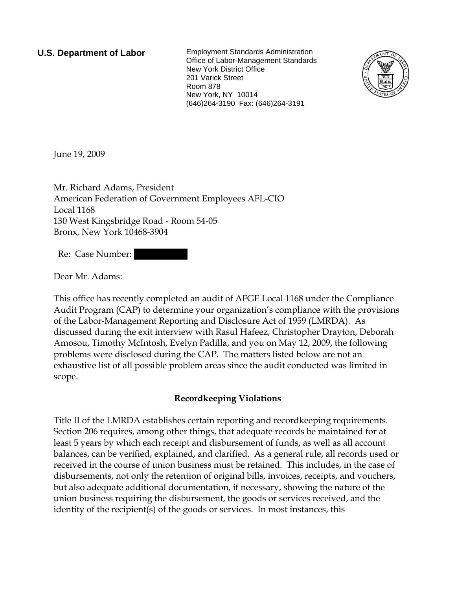**U.S. Department of Labor** Employment Standards Administration Office of Labor-Management Standards New York District Office 201 Varick Street Room 878 New York, NY 10014 (646)264-3190 Fax: (646)264-3191



June 19, 2009

Mr. Richard Adams, President American Federation of Government Employees AFL-CIO Local 1168 130 West Kingsbridge Road - Room 54-05 Bronx, New York 10468-3904

Re: Case Number:

Dear Mr. Adams:

This office has recently completed an audit of AFGE Local 1168 under the Compliance Audit Program (CAP) to determine your organization's compliance with the provisions of the Labor-Management Reporting and Disclosure Act of 1959 (LMRDA). As discussed during the exit interview with Rasul Hafeez, Christopher Drayton, Deborah Amosou, Timothy McIntosh, Evelyn Padilla, and you on May 12, 2009, the following problems were disclosed during the CAP. The matters listed below are not an exhaustive list of all possible problem areas since the audit conducted was limited in scope.

## **Recordkeeping Violations**

Title II of the LMRDA establishes certain reporting and recordkeeping requirements. Section 206 requires, among other things, that adequate records be maintained for at least 5 years by which each receipt and disbursement of funds, as well as all account balances, can be verified, explained, and clarified. As a general rule, all records used or received in the course of union business must be retained. This includes, in the case of disbursements, not only the retention of original bills, invoices, receipts, and vouchers, but also adequate additional documentation, if necessary, showing the nature of the union business requiring the disbursement, the goods or services received, and the identity of the recipient(s) of the goods or services. In most instances, this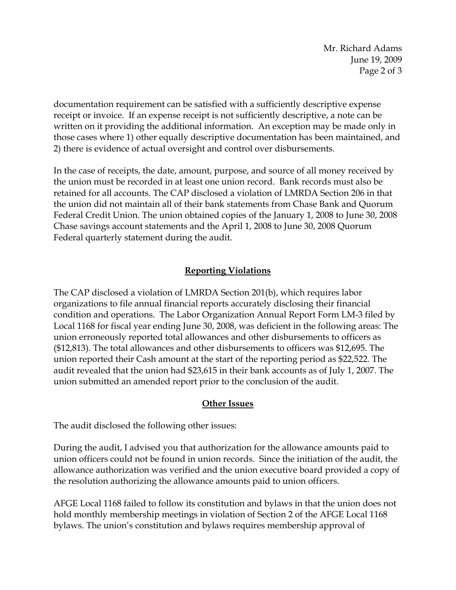Mr. Richard Adams June 19, 2009 Page 2 of 3

documentation requirement can be satisfied with a sufficiently descriptive expense receipt or invoice. If an expense receipt is not sufficiently descriptive, a note can be written on it providing the additional information. An exception may be made only in those cases where 1) other equally descriptive documentation has been maintained, and 2) there is evidence of actual oversight and control over disbursements.

In the case of receipts, the date, amount, purpose, and source of all money received by the union must be recorded in at least one union record. Bank records must also be retained for all accounts. The CAP disclosed a violation of LMRDA Section 206 in that the union did not maintain all of their bank statements from Chase Bank and Quorum Federal Credit Union. The union obtained copies of the January 1, 2008 to June 30, 2008 Chase savings account statements and the April 1, 2008 to June 30, 2008 Quorum Federal quarterly statement during the audit.

## **Reporting Violations**

The CAP disclosed a violation of LMRDA Section 201(b), which requires labor organizations to file annual financial reports accurately disclosing their financial condition and operations. The Labor Organization Annual Report Form LM-3 filed by Local 1168 for fiscal year ending June 30, 2008, was deficient in the following areas: The union erroneously reported total allowances and other disbursements to officers as (\$12,813). The total allowances and other disbursements to officers was \$12,695. The union reported their Cash amount at the start of the reporting period as \$22,522. The audit revealed that the union had \$23,615 in their bank accounts as of July 1, 2007. The union submitted an amended report prior to the conclusion of the audit.

## **Other Issues**

The audit disclosed the following other issues:

During the audit, I advised you that authorization for the allowance amounts paid to union officers could not be found in union records. Since the initiation of the audit, the allowance authorization was verified and the union executive board provided a copy of the resolution authorizing the allowance amounts paid to union officers.

AFGE Local 1168 failed to follow its constitution and bylaws in that the union does not hold monthly membership meetings in violation of Section 2 of the AFGE Local 1168 bylaws. The union's constitution and bylaws requires membership approval of